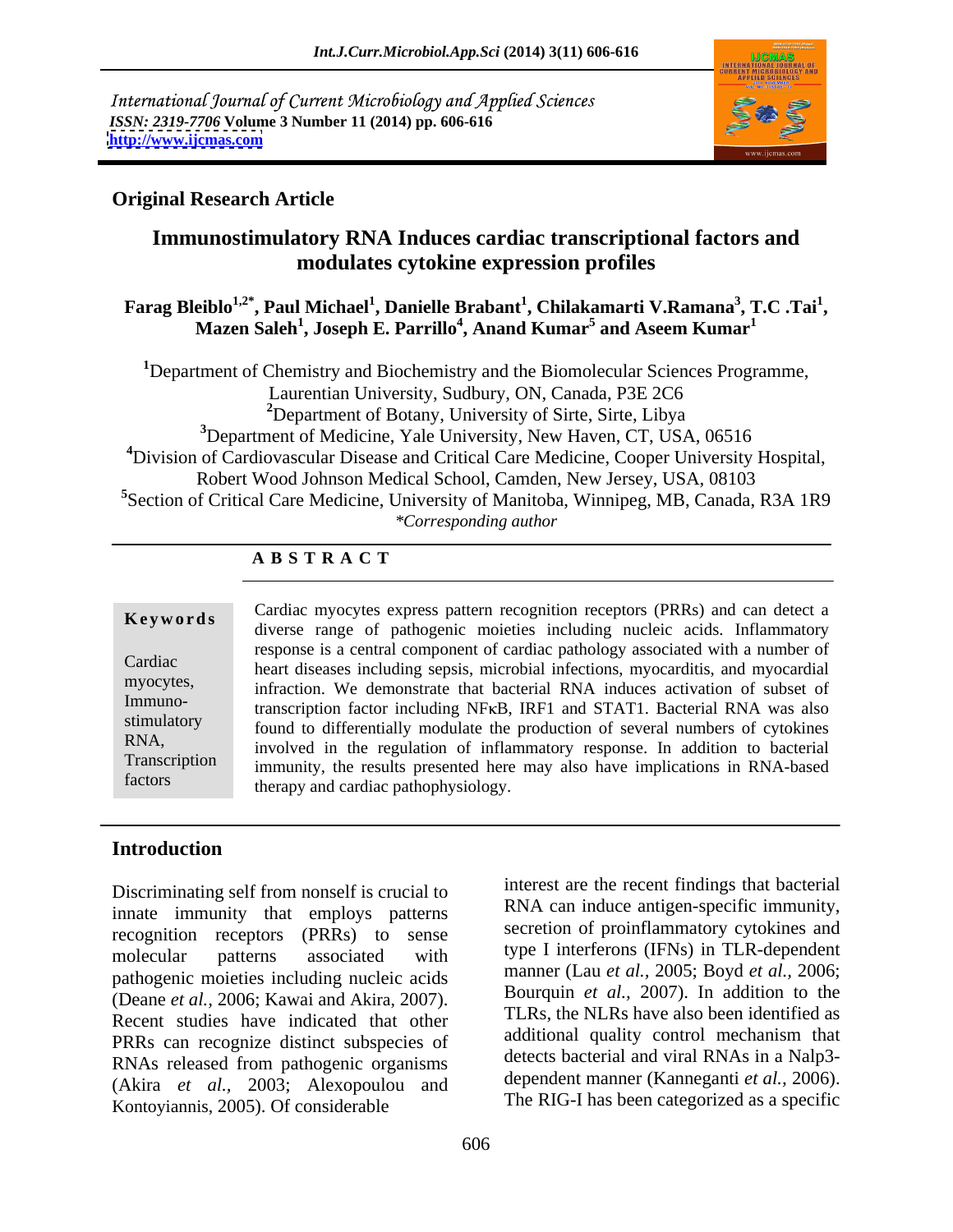International Journal of Current Microbiology and Applied Sciences *ISSN: 2319-7706* **Volume 3 Number 11 (2014) pp. 606-616 <http://www.ijcmas.com>**



#### **Original Research Article**

## **Immunostimulatory RNA Induces cardiac transcriptional factors and modulates cytokine expression profiles**

#### ${\bf F}$ arag Bleiblo $^{1,2^*}$ , Paul Michael $^1$ , Danielle Brabant $^1$ , Chilakamarti V.Ramana $^3$ , T.C .Tai $^1$ , **, T.C .Tai<sup>1</sup>** eiblo<sup>1,2</sup>°, Paul Michael<sup>1</sup>, Danielle Brabant<sup>1</sup>, Chilakamarti V.Ramana<sup>3</sup>, T.C .Tai<sup>1</sup>, Mazen Saleh<sup>1</sup>, Joseph E. Parrillo<sup>4</sup>, Anand Kumar<sup>5</sup> and Aseem Kumar<sup>1</sup>  **and Aseem Kumar<sup>1</sup>**

Department of Chemistry and Biochemistry and the Biomolecular Sciences Programme, Laurentian University, Sudbury, ON, Canada, P3E 2C6 Department of Botany, University of Sirte, Sirte, Libya Department of Medicine, Yale University, New Haven, CT, USA, 06516 Division of Cardiovascular Disease and Critical Care Medicine, Cooper University Hospital, Robert Wood Johnson Medical School, Camden, New Jersey, USA, 08103 Section of Critical Care Medicine, University of Manitoba, Winnipeg, MB, Canada, R3A 1R9 *\*Corresponding author*

#### **A B S T R A C T**

**Keywords** Caludat involves express pattern recognition receptors (FKS) and can detect a diverse range of pathogenic moieties including nucleic acids. Inflammatory Cardiac heart diseases including sepsis, microbial infections, myocarditis, and myocardial myocytes,<br>
infraction. We demonstrate that bacterial RNA induces activation of subset of Immuno-<br>transcription factor including NFKB, IRF1 and STAT1. Bacterial RNA was also stimulatory found to differentially modulate the production of several numbers of cytokines RNA, involved in the regulation of inflammatory response. In addition to bacterial Transcription immunity, the results presented here may also have implications in RNA-based factors therapy and cardiac pathophysiology. Cardiac myocytes express pattern recognition receptors (PRRs) and can detect a response is a central component of cardiac pathology associated with a number of

#### **Introduction**

Discriminating self from nonself is crucial to innate immunity that employs patterns recognition receptors (PRRs) to sense molecular patterns associated with type I interferons (IFINS) in ILK-dependent pathogenic moieties including nucleic acids (Deane *et al.*, 2006; Kawai and Akira, 2007). Bourdum *et al.*, 2007). In addition to the Recent studies have indicated that other TLRs, the NLRs have also been identified as PRRs can recognize distinct subspecies of RNAs released from pathogenic organisms<br>
(Akira et al., 2003; Alexanoulou, and dependent manner (Kanneganti et al., 2006). (Akira *et al.,* 2003; Alexopoulou and Kontoyiannis, 2005). Of considerable

interest are the recent findings that bacterial RNA can induce antigen-specific immunity, secretion of proinflammatory cytokines and type I interferons (IFNs) in TLR-dependent manner (Lau *et al.,* 2005; Boyd *et al.,* 2006; Bourquin *et al.,* 2007). In addition to the TLRs, the NLRs have also been identified as additional quality control mechanism that detects bacterial and viral RNAs in a Nalp3- The RIG-I has been categorized as a specific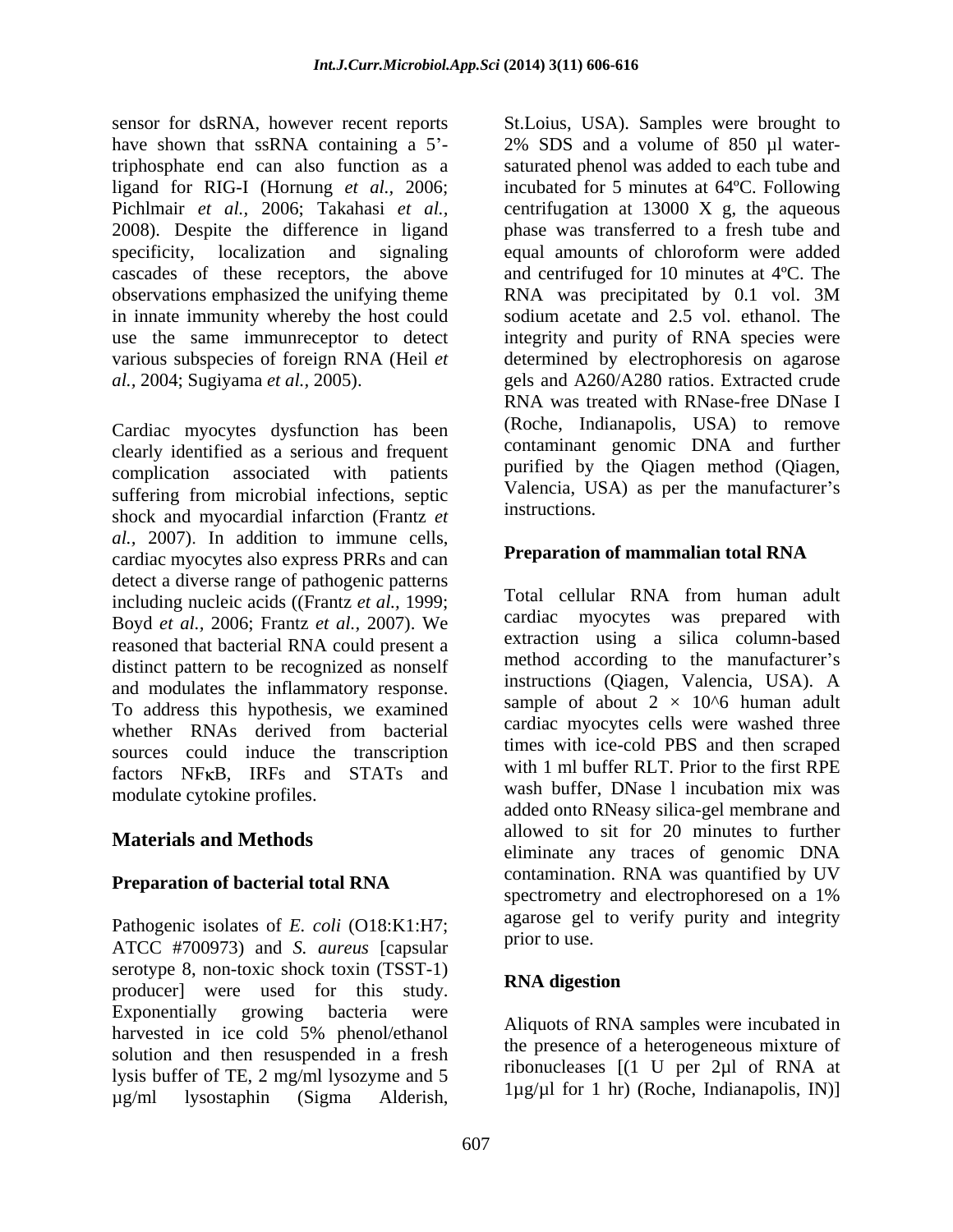triphosphate end can also function as a observations emphasized the unifying theme RNA was precipitated by 0.1 vol. 3M

Cardiac myocytes dysfunction has been clearly identified as a serious and frequent complication associated with patients suffering from microbial infections, septic valencia, U shock and myocardial infarction (Frantz *et al.,* 2007). In addition to immune cells, cardiac myocytes also express PRRs and can detect a diverse range of pathogenic patterns<br>including quality exide (Create at al. 1999). Total cellular RNA from human adult including nucleic acids ((Frantz *et al.,* 1999; Boyd *et al.,* 2006; Frantz *et al.,* 2007). We reasoned that bacterial RNA could present a distinct pattern to be recognized as nonself sources could induce the transcription factors NFKB, IRFs and STATs and modulate cytokine profiles.

### **Materials and Methods**

Pathogenic isolates of *E. coli* (O18:K1:H7; against get<br>ATCC #700072) and S. runner formular prior to use. ATCC #700973) and *S. aureus* [capsular serotype 8, non-toxic shock toxin (TSST-1)<br>
moduced were used for this study RNA digestion producer] were used for this study.<br>Exponentially growing bacteria were harvested in ice cold 5% phenol/ethanol solution and then resuspended in a fresh lysis buffer of TE, 2 mg/ml lysozyme and 5<br>  $\mu$ g/ml lysostaphin (Sigma Alderish,  $\mu$ g/ml lysostaphin (Sigma Alderish,  $\mu$ g/ $\mu$ i for f m/ (Koche, Indianapolis, Irv)

sensor for dsRNA, however recent reports St.Loius, USA). Samples were brought to have shown that ssRNA containing a  $5'$ - 2% SDS and a volume of 850  $\mu$ l waterligand for RIG-I (Hornung *et al.,* 2006; incubated for 5 minutes at 64ºC. Following Pichlmair *et al.*, 2006; Takahasi *et al.*, centrifugation at 13000 X g, the aqueous 2008). Despite the difference in ligand phase was transferred to a fresh tube and specificity, localization and signaling equal amounts of chloroform were added cascades of these receptors, the above and centrifuged for 10 minutes at 4ºC. The in innate immunity whereby the host could sodium acetate and 2.5 vol. ethanol. The use the same immunreceptor to detect integrity and purity of RNA species were various subspecies of foreign RNA (Heil *et*  determined by electrophoresis on agarose *al.,* 2004; Sugiyama *et al.,* 2005). gels and A260/A280 ratios. Extracted crude saturated phenol was added to each tube and RNA was precipitated by 0.1 vol. 3M RNA was treated with RNase-free DNase I (Roche, Indianapolis, USA) to remove contaminant genomic DNA and further purified by the Qiagen method (Qiagen, Valencia, USA) as per the manufacturer's instructions.

#### **Preparation of mammalian total RNA**

and modulates the inflammatory response.<br>To address this hypothesis, we examined sample of about  $2 \times 10^{6}$  human adult whether RNAs derived from bacterial cardiac myocyles cells were wasned in the **Preparation of bacterial total RNA CONCOLUME CONSUMING CONCORDING TO A REPORT OF A REPORT OF A REPORT OF A REPORT OF A REPORT OF A REPORT OF A REPORT OF A REPORT OF A REPORT OF A REPORT OF A REPORT OF A REPORT OF A REPO** Total cellular RNA from human adult cardiac myocytes was prepared with extraction using a silica column-based method according to the manufacturer's instructions (Qiagen, Valencia, USA). A sample of about  $2 \times 10^{6}$  human adult cardiac myocytes cells were washed three times with ice-cold PBS and then scraped with 1 ml buffer RLT. Prior to the first RPE wash buffer, DNase l incubation mix was added onto RNeasy silica-gel membrane and allowed to sit for 20 minutes to further eliminate any traces of genomic DNA contamination. RNA was quantified by UV spectrometry and electrophoresed on a 1% agarose gel to verify purity and integrity prior to use.

### **RNA digestion**

Aliquots of RNA samples were incubated in the presence of a heterogeneous mixture of ribonucleases [(1 U per 2µl of RNA at 1µg/µl for 1 hr) (Roche, Indianapolis, IN)]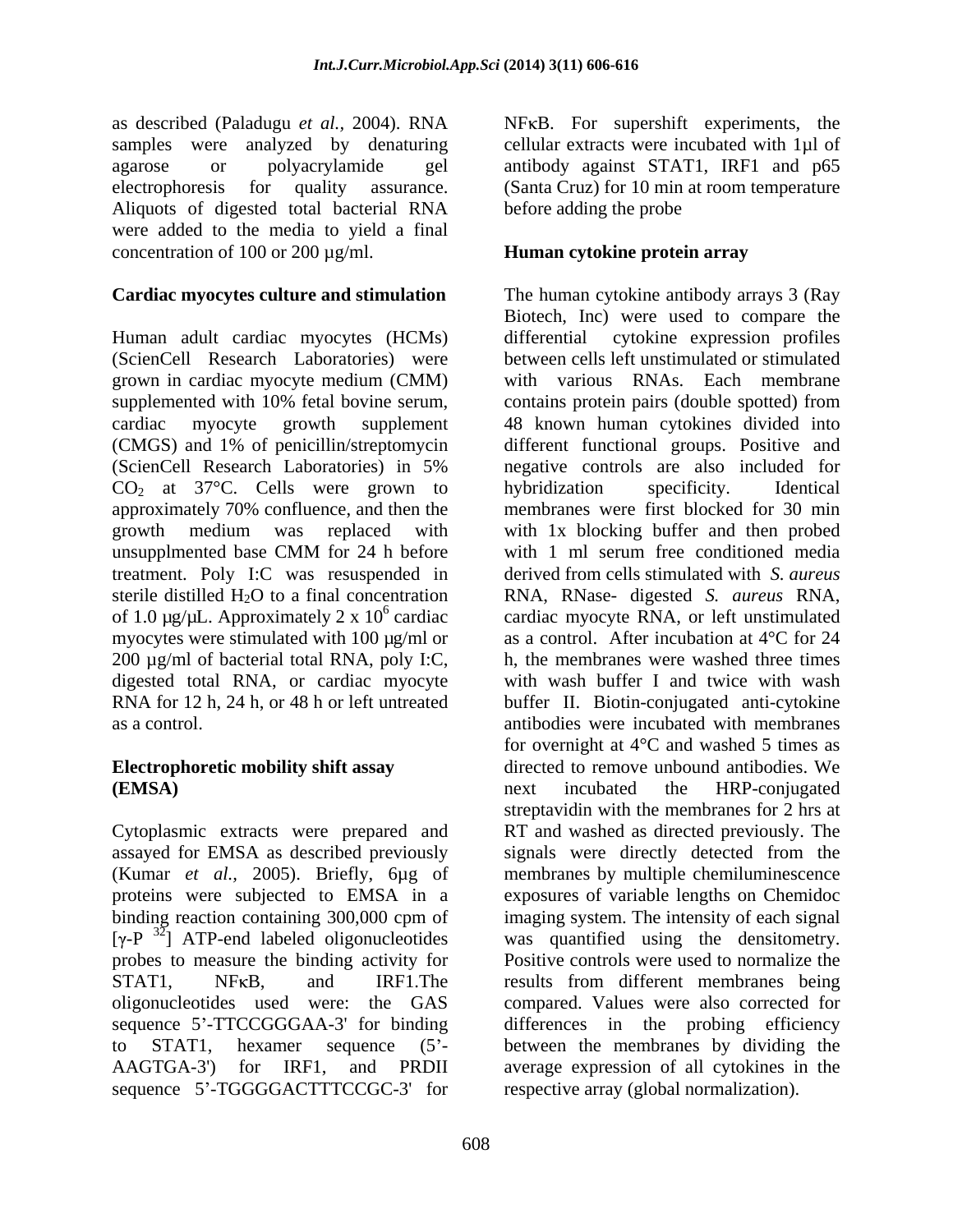as described (Paladugu *et al.*, 2004). RNA NFKB. For supershift experiments, the samples were analyzed by denaturing cellular extracts were incubated with 1µl of agarose or polyacrylamide gel antibody against STAT1, IRF1 and p65 electrophoresis for quality assurance. (Santa Cruz) for 10 min at room temperature Aliquots of digested total bacterial RNA were added to the media to yield a final concentration of 100 or 200 µg/ml.

#### **Cardiac myocytes culture and stimulation** The human cytokine antibody arrays 3 (Ray

Human adult cardiac myocytes (HCMs) (ScienCell Research Laboratories) were grown in cardiac myocyte medium (CMM) supplemented with 10% fetal bovine serum, contains protein pairs (double spotted) from cardiac myocyte growth supplement 48 known human cytokines divided into (CMGS) and 1% of penicillin/streptomycin different functional groups. Positive and (ScienCell Research Laboratories) in 5% negative controls are also included for  $CO<sub>2</sub>$  at 37°C. Cells were grown to hybridization specificity. Identical approximately 70% confluence, and then the membranes were first blocked for 30 min growth medium was replaced with with 1x blocking buffer and then probed unsupplmented base CMM for 24 h before with 1 ml serum free conditioned media treatment. Poly I:C was resuspended in sterile distilled H2O to a final concentration RNA, RNase- digested *S. aureus* RNA, of 1.0  $\mu$ g/ $\mu$ L. Approximately 2 x 10<sup>6</sup> cardiac myocytes were stimulated with 100 µg/ml or as a control. After incubation at 4°C for 24 200 µg/ml of bacterial total RNA, poly I:C, digested total RNA, or cardiac myocyte with wash buffer I and twice with wash RNA for 12 h, 24 h, or 48 h or left untreated buffer II. Biotin-conjugated anti-cytokine as a control. antibodies were incubated with membranes

proteins were subjected to EMSA in a binding reaction containing 300,000 cpm of  $[\gamma$ -P<sup>32</sup>] ATP-end labeled oligonucleotides sequence 5'-TTCCGGGAA-3' for binding sequence 5'-TGGGGACTTTCCGC-3' for

before adding the probe

#### **Human cytokine protein array**

 cardiac cardiac myocyte RNA, or left unstimulated **Electrophoretic mobility shift assay**  directed to remove unbound antibodies. We **(EMSA)** next incubated the HRP-conjugated Cytoplasmic extracts were prepared and RT and washed as directed previously. The assayed for EMSA as described previously signals were directly detected from the (Kumar *et al.,* 2005). Briefly, 6µg of membranes by multiple chemiluminescence binding reaction containing 300,000 cpm of imaging system. The intensity of each signal probes to measure the binding activity for Positive controls were used to normalize the STAT1, NFKB, and IRF1. The results from different membranes being oligonucleotides used were: the GAS compared. Values were also corrected for to STAT1, hexamer sequence (5<sup>2</sup> between the membranes by dividing the AAGTGA-3') for IRF1, and PRDII average expression of all cytokines in the Biotech, Inc) were used to compare the cytokine expression profiles between cells left unstimulated or stimulated with various RNAs. Each membrane hybridization specificity. Identical with 1 ml serum free conditioned media derived from cells stimulated with *S. aureus* h, the membranes were washed three times for overnight at  $4^{\circ}$ C and washed 5 times as next incubated the HRP-conjugated streptavidin with the membranes for 2 hrs at exposures of variable lengths on Chemidoc was quantified using the densitometry. differences in the probing efficiency respective array (global normalization).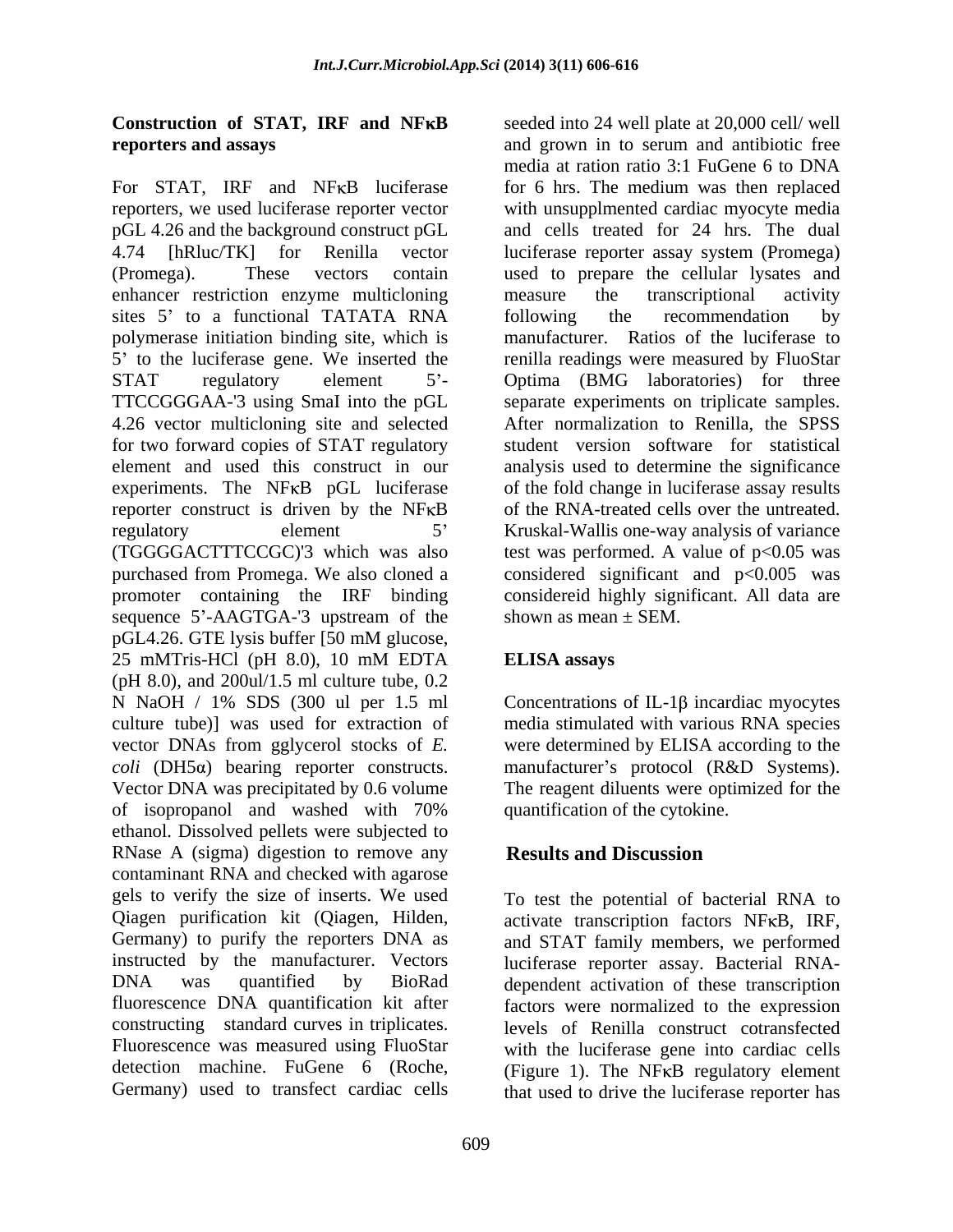# **reporters and assays** and grown in to serum and antibiotic free

For STAT, IRF and NFKB luciferase reporters, we used luciferase reporter vector with unsupplmented cardiac myocyte media pGL 4.26 and the background construct pGL 4.74 [hRluc/TK] for Renilla vector luciferase reporter assay system (Promega) (Promega). These vectors contain used to prepare the cellular lysates and enhancer restriction enzyme multicloning measure the transcriptional activity sites 5' to a functional TATATA RNA bollowing the recommendation by polymerase initiation binding site, which is 5 to the luciferase gene. We inserted the renilla readings were measured by FluoStar STAT regulatory element 5<sup>'</sup>- Optima (BMG laboratories) for three TTCCGGGAA-'3 using SmaI into the pGL 4.26 vector multicloning site and selected for two forward copies of STAT regulatory element and used this construct in our analysis used to determine the significance experiments. The NFKB pGL luciferase of the fold change in luciferase assay results reporter construct is driven by the NFKB of the RNA-treated cells over the untreated. regulatory element 5<sup>7</sup> Kruskal-Wallis one-way analysis of variance (TGGGGACTTTCCGC)'3 which was also test was performed. A value of  $p<0.05$  was purchased from Promega. We also cloned a considered significant and p<0.005 was promoter containing the IRF binding considereid highly significant. All data are sequence 5'-AAGTGA-'3 upstream of the pGL4.26. GTE lysis buffer [50 mM glucose, 25 mMTris-HCl (pH 8.0), 10 mM EDTA ELISA assays (pH 8.0), and 200ul/1.5 ml culture tube, 0.2 N NaOH  $/$  1% SDS (300 ul per 1.5 ml Concentrations of IL-1 $\beta$  incardiac myocytes culture tube)] was used for extraction of media stimulated with various RNA species vector DNAs from gglycerol stocks of *E.*  were determined by ELISA according to the *coli* (DH5a) bearing reporter constructs. manufacturer's protocol (R&D Systems). Vector DNA was precipitated by 0.6 volume The reagent diluents were optimized for the of isopropanol and washed with 70% ethanol. Dissolved pellets were subjected to RNase A (sigma) digestion to remove any **Results and Discussion** contaminant RNA and checked with agarose gels to verify the size of inserts. We used Qiagen purification kit (Qiagen, Hilden, Germany) to purify the reporters DNA as and STAT family members, we performed instructed by the manufacturer. Vectors luciferase reporter assay. Bacterial RNA- DNA was quantified by BioRad dependent activation of these transcription fluorescence DNA quantification kit after factors were normalized to the expression constructing standard curves in triplicates. Fluorescence was measured using FluoStar with the luciferase gene into cardiac cells detection machine. FuGene 6 (Roche, (Figure 1). The NFKB regulatory element

**Construction of STAT, IRF and NFKB** seeded into 24 well plate at 20,000 cell/ well and grown in to serum and antibiotic free media at ration ratio 3:1 FuGene 6 to DNA for 6 hrs. The medium was then replaced and cells treated for 24 hrs. The dual measure the transcriptional activity following the recommendation by manufacturer. Ratios of the luciferase to separate experiments on triplicate samples. After normalization to Renilla, the SPSS student version software for statistical shown as mean  $+$  SEM.

### **ELISA assays**

quantification of the cytokine.

### **Results and Discussion**

Germany) used to transfect cardiac cells that used to drive the luciferase reporter has To test the potential of bacterial RNA to activate transcription factors NF<sub>K</sub>B, IRF, levels of Renilla construct cotransfected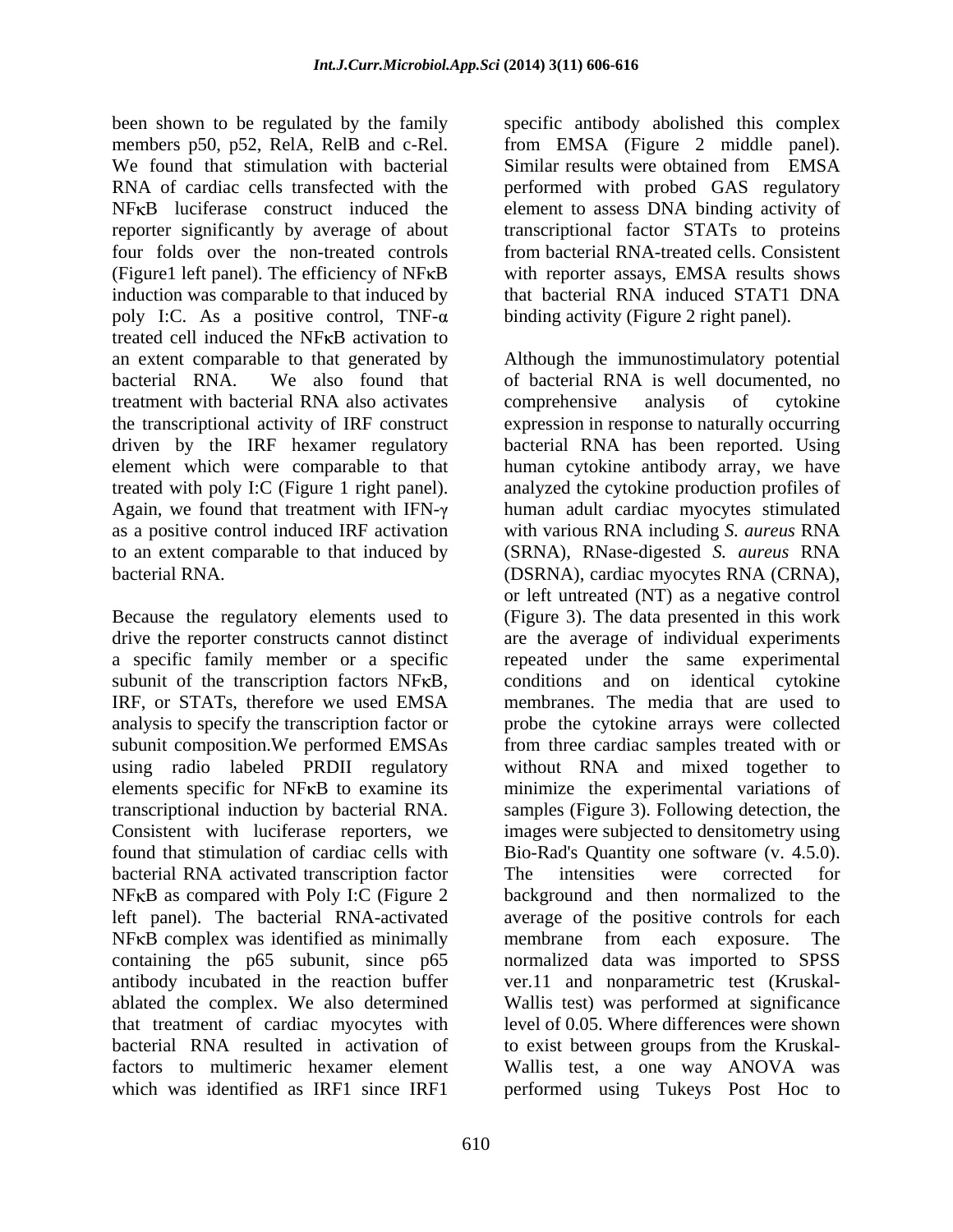been shown to be regulated by the family specific antibody abolished this complex members p50, p52, RelA, RelB and c-Rel. from EMSA (Figure 2 middle panel). We found that stimulation with bacterial Similar results were obtained from EMSA RNA of cardiac cells transfected with the performed with probed GAS regulatory NFKB luciferase construct induced the element to assess DNA binding activity of reporter significantly by average of about transcriptional factor STATs to proteins four folds over the non-treated controls from bacterial RNA-treated cells. Consistent  $(Figure1$  left panel). The efficiency of NF $\kappa$ B induction was comparable to that induced by poly I:C. As a positive control, TNF- $\alpha$ treated cell induced the NF<sub>K</sub>B activation to treatment with bacterial RNA also activates comprehensive analysis of cytokine

bacterial RNA activated transcription factor  $N$ FKB as compared with Poly I:C (Figure 2)  $NFKB$  complex was identified as minimally membrane from each exposure. The

with reporter assays, EMSA results shows that bacterial RNA induced STAT1 DNA binding activity (Figure 2 right panel).

an extent comparable to that generated by Although the immunostimulatory potential bacterial RNA. We also found that of bacterial RNA is well documented, no the transcriptional activity of IRF construct expression in response to naturally occurring driven by the IRF hexamer regulatory bacterial RNA has been reported. Using element which were comparable to that human cytokine antibody array, we have treated with poly I:C (Figure 1 right panel). analyzed the cytokine production profiles of Again, we found that treatment with  $IFN-\gamma$  human adult cardiac myocytes stimulated as a positive control induced IRF activation with various RNA including *S. aureus* RNA to an extent comparable to that induced by (SRNA), RNase-digested *S. aureus* RNA bacterial RNA. (DSRNA), cardiac myocytes RNA (CRNA), Because the regulatory elements used to (Figure 3). The data presented in this work drive the reporter constructs cannot distinct are the average of individual experiments a specific family member or a specific sure repeated under the same experimental subunit of the transcription factors NFKB, conditions and on identical cytokine IRF, or STATs, therefore we used EMSA membranes. The media that are used to analysis to specify the transcription factor or probe the cytokine arrays were collected subunit composition.We performed EMSAs from three cardiac samples treated with or using radio labeled PRDII regulatory without RNA and mixed together to elements specific for NF<sub>K</sub>B to examine its minimize the experimental variations of transcriptional induction by bacterial RNA. samples (Figure 3). Following detection, the Consistent with luciferase reporters, we images were subjected to densitometry using found that stimulation of cardiac cells with Bio-Rad's Quantity one software (v. 4.5.0). left panel). The bacterial RNA-activated average of the positive controls for each containing the p65 subunit, since p65 normalized data was imported to SPSS antibody incubated in the reaction buffer ver.11 and nonparametric test (Kruskal ablated the complex. We also determined Wallis test) was performed at significance that treatment of cardiac myocytes with level of 0.05. Where differences were shown bacterial RNA resulted in activation of to exist between groups from the Kruskal factors to multimeric hexamer element Wallis test, a one way ANOVA was which was identified as IRF1 since IRF1 performed using Tukeys Post Hoc tocomprehensive analysis of cytokine or left untreated (NT) as a negative control The intensities were corrected for background and then normalized to the membrane from each exposure. The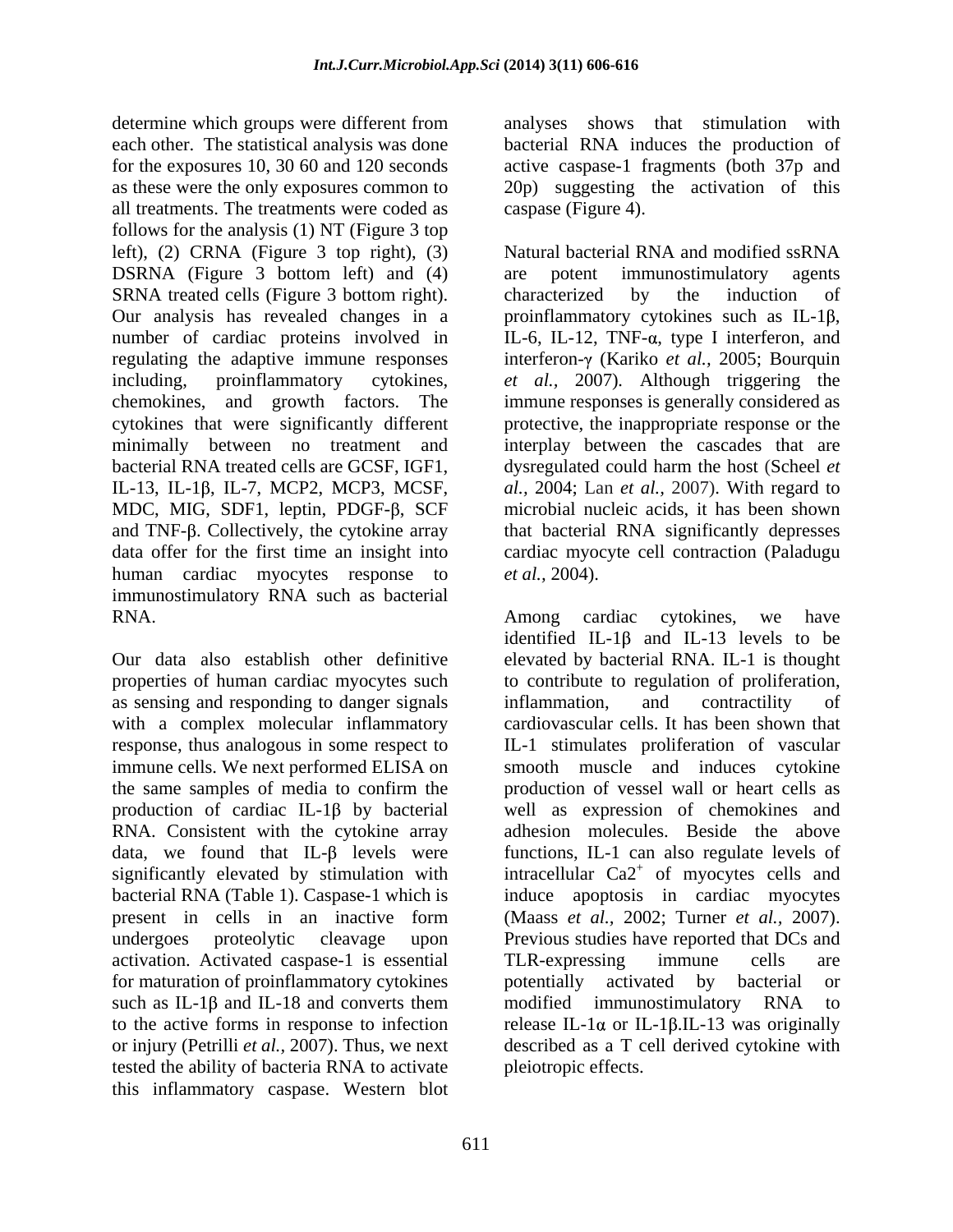determine which groups were different from each other. The statistical analysis was done bacterial RNA induces the production of for the exposures 10, 30 60 and 120 seconds active caspase-1 fragments (both 37p and as these were the only exposures common to 20p) suggesting the activation of this all treatments. The treatments were coded as follows for the analysis (1) NT (Figure 3 top DSRNA (Figure 3 bottom left) and (4) are potent immunostimulatory agents SRNA treated cells (Figure 3 bottom right). characterized by the induction of Our analysis has revealed changes in a proinflammatory cytokines such as IL-1 $\beta$ , number of cardiac proteins involved in IL-6, IL-12, TNF-a, type I interferon, and MDC, MIG, SDF1, leptin, PDGF- $\beta$ , SCF human cardiac myocytes response to *et al.*, 2004). immunostimulatory RNA such as bacterial

as sensing and responding to danger signals inflammation, and contractility of with a complex molecular inflammatory production of cardiac IL-1 $\beta$  by bacterial RNA. Consistent with the cytokine array data, we found that IL- $\beta$  levels were bacterial RNA (Table 1). Caspase-1 which is activation. Activated caspase-1 is essential for maturation of proinflammatory cytokines by external potentially activated by bacterial or such as IL-1 $\beta$  and IL-18 and converts them modified immunostimulatory RNA to tested the ability of bacteria RNA to activate this inflammatory caspase. Western blot

analyses shows that stimulation with caspase (Figure 4).

left), (2) CRNA (Figure 3 top right), (3) Natural bacterial RNA and modified ssRNA regulating the adaptive immune responses interferon-γ (Kariko *et al.*, 2005; Bourquin including, proinflammatory cytokines, *et al.,* 2007)*.* Although triggering the chemokines, and growth factors. The immune responses is generally considered as cytokines that were significantly different protective, the inappropriate response or the minimally between no treatment and interplay between the cascades that are bacterial RNA treated cells are GCSF, IGF1, dysregulated could harm the host (Scheel *et*  IL-13, IL-1β, IL-7, MCP2, MCP3, MCSF, *al.*, 2004; Lan *et al.*, 2007). With regard to and TNF-β. Collectively, the cytokine array hat bacterial RNA significantly depresses data offer for the first time an insight into cardiac myocyte cell contraction (Paladugu are potent immunostimulatory agents characterized by the induction of proinflammatory cytokines such as IL-1 $\beta$ ,<br>IL-6, IL-12, TNF- $\alpha$ , type I interferon, and microbial nucleic acids, it has been shown *et al.,* 2004).

RNA. Among cardiac cytokines, we have Our data also establish other definitive elevated by bacterial RNA. IL-1 is thought properties of human cardiac myocytes such to contribute to regulation of proliferation, response, thus analogous in some respect to IL-1 stimulates proliferation of vascular immune cells. We next performed ELISA on smooth muscle and induces cytokine the same samples of media to confirm the production of vessel wall or heart cells as significantly elevated by stimulation with intracellular  $Ca2^+$  of myocytes cells and present in cells in an inactive form (Maass *et al.,* 2002; Turner*et al.,* 2007). undergoes proteolytic cleavage upon Previous studies have reported that DCs and to the active forms in response to infection release IL-1 $\alpha$  or IL-1 $\beta$ .IL-13 was originally or injury (Petrilli *et al.,* 2007). Thus, we next described as a T cell derived cytokine with identified IL-1 $\beta$  and IL-13 levels to be inflammation, and contractility of cardiovascular cells. It has been shown that well as expression of chemokines and adhesion molecules. Beside the above functions, IL-1 can also regulate levels of induce apoptosis in cardiac myocytes TLR-expressing immune cells are potentially activated by bacterial or modified immunostimulatory RNA to pleiotropic effects.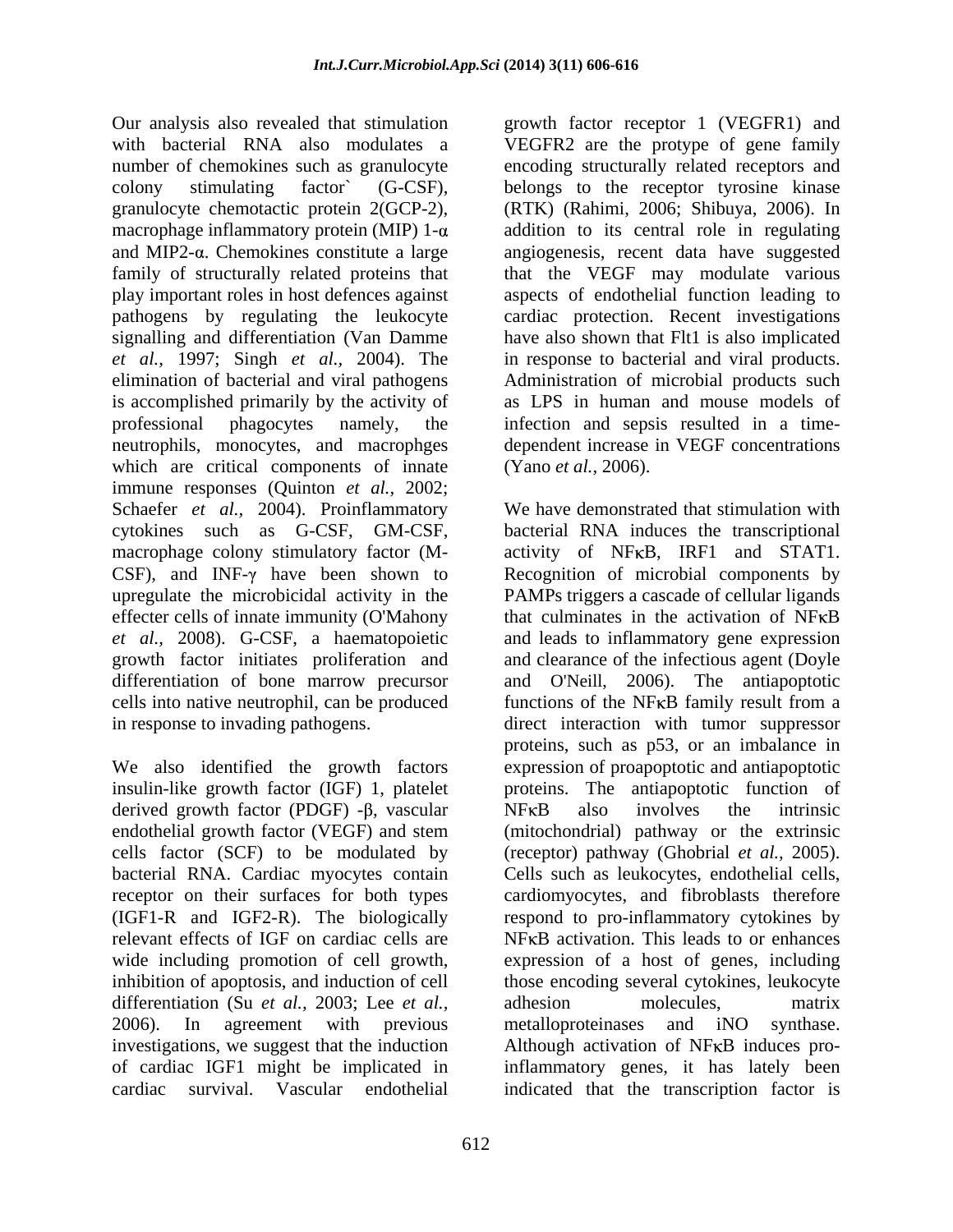Our analysis also revealed that stimulation growth factor receptor 1 (VEGFR1) and with bacterial RNA also modulates a VEGFR2 are the protype of gene family number of chemokines such as granulocyte encoding structurally related receptors and colony stimulating factor` (G-CSF), belongs to the receptor tyrosine kinase granulocyte chemotactic protein 2(GCP-2), (RTK) (Rahimi, 2006; Shibuya*,* 2006).In macrophage inflammatory protein (MIP)  $1-\alpha$ and MIP2-a. Chemokines constitute a large angiogenesis, recent data have suggested family of structurally related proteins that that the VEGF may modulate various play important roles in host defences against aspects of endothelial function leading to pathogens by regulating the leukocyte cardiac protection. Recent investigations signalling and differentiation (Van Damme have also shown that Flt1 is also implicated *et al.,* 1997; Singh *et al.,* 2004). The elimination of bacterial and viral pathogens Administration of microbial products such is accomplished primarily by the activity of professional phagocytes namely, the infection and sepsis resulted in atime neutrophils, monocytes, and macrophges dependent increase in VEGF concentrations which are critical components of innate immune responses (Quinton *et al.,* 2002; Schaefer *et al.,* 2004). Proinflammatory CSF), and INF- $\gamma$  have been shown to *et al.,* 2008). G-CSF, a haematopoietic

insulin-like growth factor (IGF) 1, platelet derived growth factor (PDGF)  $-\beta$ , vascular NFKB also involves the intrinsic cells factor (SCF) to be modulated by (receptor) pathway (Ghobrial et al., 2005). bacterial RNA. Cardiac myocytes contain Cells such as leukocytes, endothelial cells, differentiation (Su *et al.,* 2003; Lee *et al.,* adhesion molecules, matrix 2006). In agreement with previous metalloproteinases and iNO synthase. investigations, we suggest that the induction

addition to its central role in regulating in response to bacterial and viral products. as LPS in human and mouse models of (Yano *et al.,* 2006).

cytokines such as G-CSF, GM-CSF, bacterial RNA induces the transcriptional macrophage colony stimulatory factor (M- activity of NFKB, IRF1 and STAT1. upregulate the microbicidal activity in the PAMPs triggers a cascade of cellular ligands effecter cells of innate immunity (O'Mahony that culminates in the activation of NFKB growth factor initiates proliferation and and clearance of the infectious agent (Doyle differentiation of bone marrow precursor and O'Neill, 2006). The antiapoptotic cells into native neutrophil, can be produced functions of the NFKB family result from a in response to invading pathogens. direct interaction with tumor suppressor We also identified the growth factors expression of proapoptotic and antiapoptotic endothelial growth factor (VEGF) and stem (mitochondrial) pathway or the extrinsic receptor on their surfaces for both types cardiomyocytes, and fibroblasts therefore (IGF1-R and IGF2-R). The biologically respond to pro-inflammatory cytokines by relevant effects of IGF on cardiac cells are MF<sub>KB</sub> activation. This leads to or enhances wide including promotion of cell growth, expression of a host of genes, including inhibition of apoptosis, and induction of cell those encoding several cytokines, leukocyte 2006). In agreement with previous metalloproteinases and iNO synthase. of cardiac IGF1 might be implicated in inflammatory genes, it has lately been cardiac survival. Vascular endothelial indicated that the transcription factor isWe have demonstrated that stimulation with Recognition of microbial components by and leads to inflammatory gene expression proteins, such as p53, or an imbalance in proteins. The antiapoptotic function of  $NFKB$  also involves the intrinsic (receptor) pathway (Ghobrial *et al.*, 2005).<br>Cells such as leukocytes, endothelial cells, adhesion molecules, matrix metalloproteinases and iNO synthase. Although activation of  $N$ F $\kappa$ B induces pro-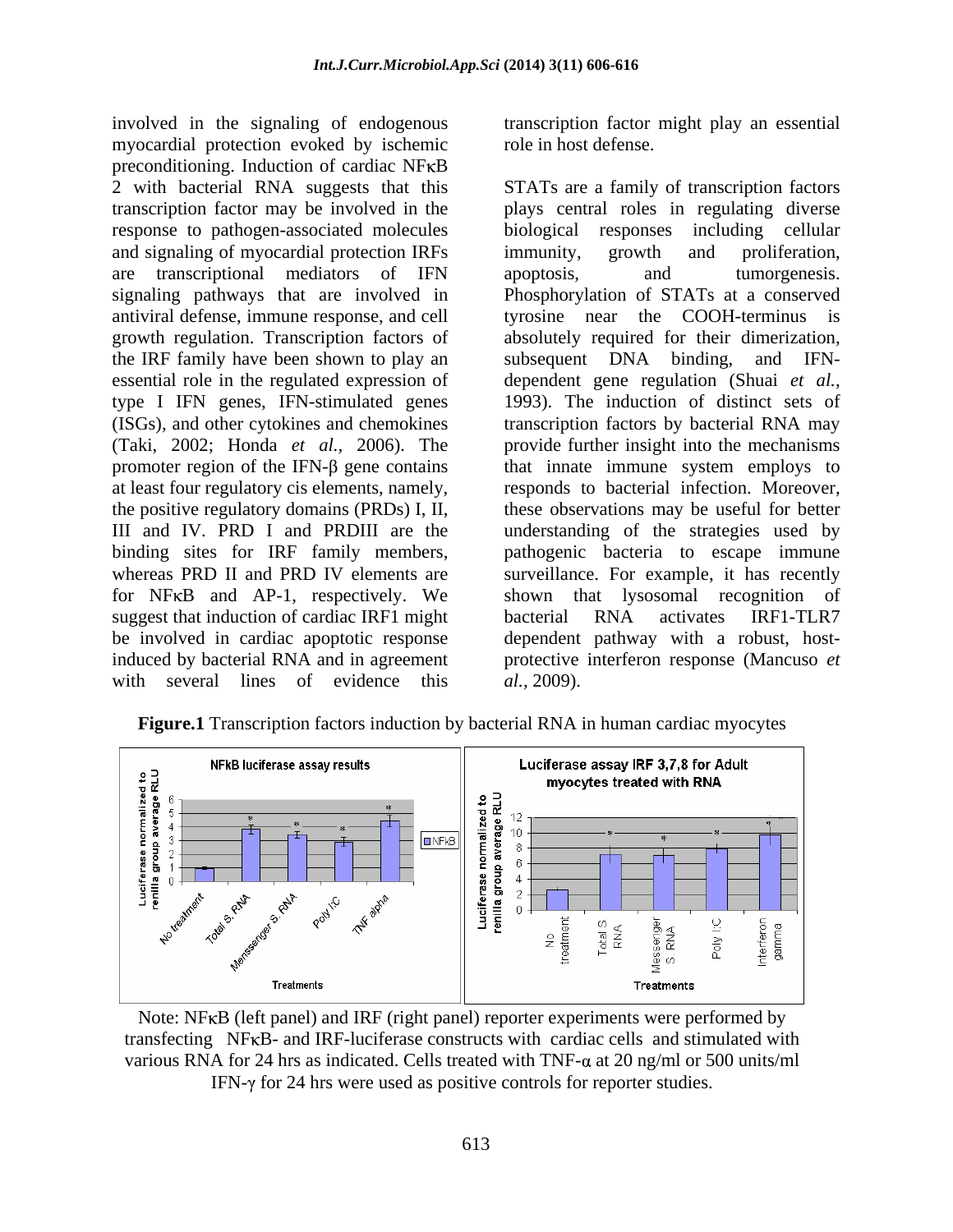involved in the signaling of endogenous transcription factor might play an essential myocardial protection evoked by ischemic preconditioning. Induction of cardiac NFKB response to pathogen-associated molecules and signaling of myocardial protection IRFs immunity, growth and proliferation, the IRF family have been shown to play an subsequent DNA binding, and IFNessential role in the regulated expression of at least four regulatory cis elements, namely, for NF<sub>K</sub>B and AP-1, respectively. We shown that lysosomal recognition of suggest that induction of cardiac IRF1 might bacterial RNA activates IRF1-TLR7 be involved in cardiac apoptotic response with several lines of evidence this al., 2009).

role in host defense.

2 with bacterial RNA suggests that this STATs are a family of transcription factors transcription factor may be involved in the plays central roles in regulating diverse are transcriptional mediators of IFN apoptosis, and tumorgenesis. signaling pathways that are involved in Phosphorylation of STATs at a conserved antiviral defense, immune response, and cell tyrosine near the COOH-terminus is growth regulation. Transcription factors of absolutely required for their dimerization, type I IFN genes, IFN-stimulated genes 1993). The induction of distinct sets of (ISGs), and other cytokines and chemokines transcription factors by bacterial RNA may (Taki, 2002; Honda *et al.,* 2006). The provide further insight into the mechanisms promoter region of the IFN- $\beta$  gene contains that innate immune system employs to the positive regulatory domains (PRDs) I, II, these observations may be useful for better III and IV. PRD I and PRDIII are the understanding of the strategies used by binding sites for IRF family members, pathogenic bacteria to escape immune whereas PRD II and PRD IV elements are surveillance. For example, it has recently induced by bacterial RNA and in agreement protective interferon response (Mancuso *et*  biological responses including cellular immunity, growth and proliferation, apoptosis, and tumorgenesis. subsequent DNA binding, and IFN dependent gene regulation (Shuai *et al.,* responds to bacterial infection. Moreover, shown that lysosomal recognition bacterial RNA activates IRF1-TLR7 dependent pathway with a robust, host *al.,* 2009).



**Figure.1** Transcription factors induction by bacterial RNA in human cardiac myocytes

Note: NFKB (left panel) and IRF (right panel) reporter experiments were performed by transfecting NF<sub>K</sub>B- and IRF-luciferase constructs with cardiac cells and stimulated with various RNA for 24 hrs as indicated. Cells treated with TNF- $\alpha$  at 20 ng/ml or 500 units/ml IFN- $\gamma$  for 24 hrs were used as positive controls for reporter studies.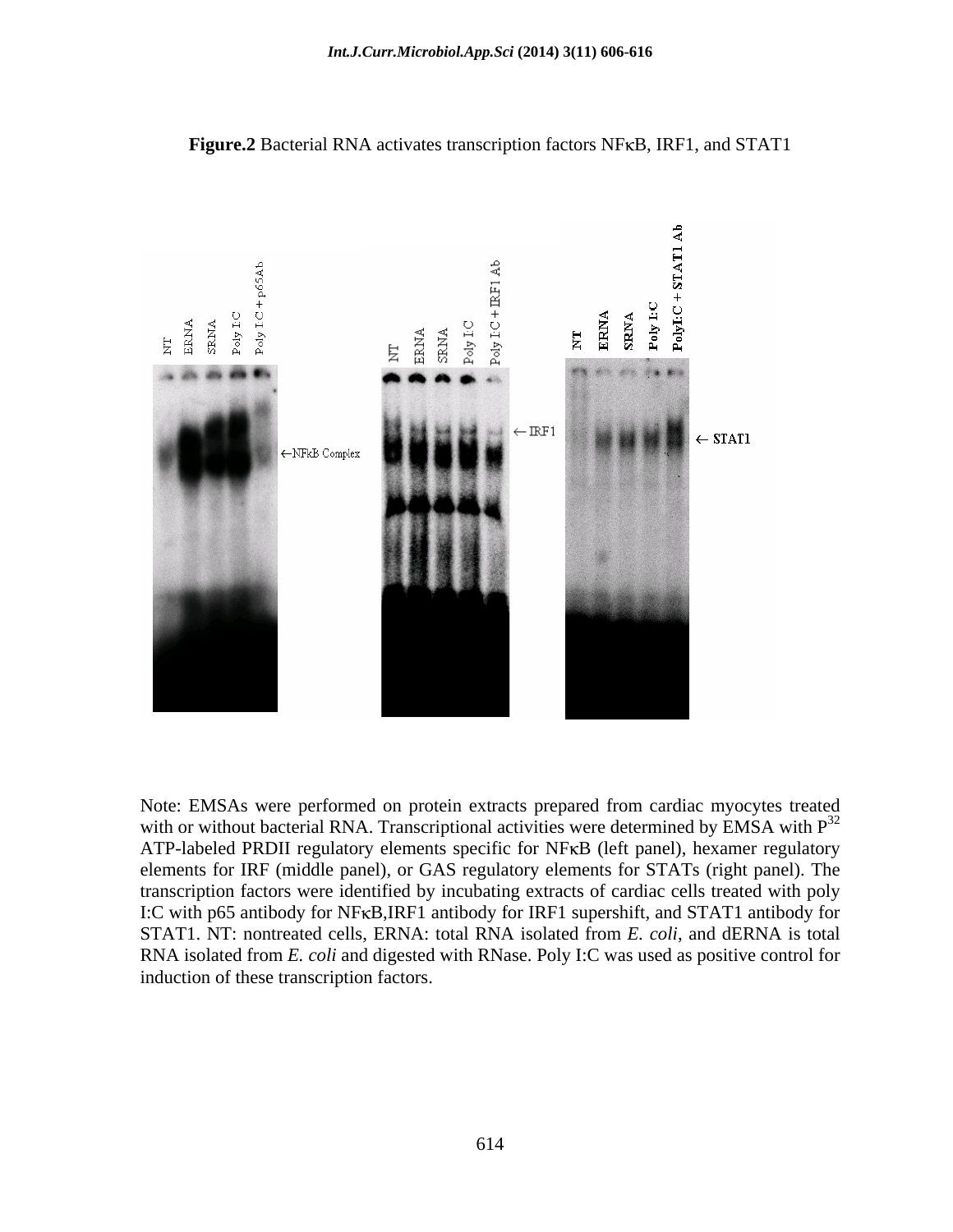

**Figure.2** Bacterial RNA activates transcription factors NF<sub>K</sub>B, IRF1, and STAT1

Note: EMSAs were performed on protein extracts prepared from cardiac myocytes treated with or without bacterial RNA. Transcriptional activities were determined by EMSA with  $P<sup>32</sup>$ ATP-labeled PRDII regulatory elements specific for NFKB (left panel), hexamer regulatory elements for IRF (middle panel), or GAS regulatory elements for STATs (right panel). The transcription factors were identified by incubating extracts of cardiac cells treated with poly I:C with p65 antibody for NFKB, IRF1 antibody for IRF1 supershift, and STAT1 antibody for STAT1. NT: nontreated cells, ERNA: total RNA isolated from *E. coli*, and dERNA is total RNA isolated from *E. coli* and digested with RNase. Poly I:C was used as positive control for induction of these transcription factors.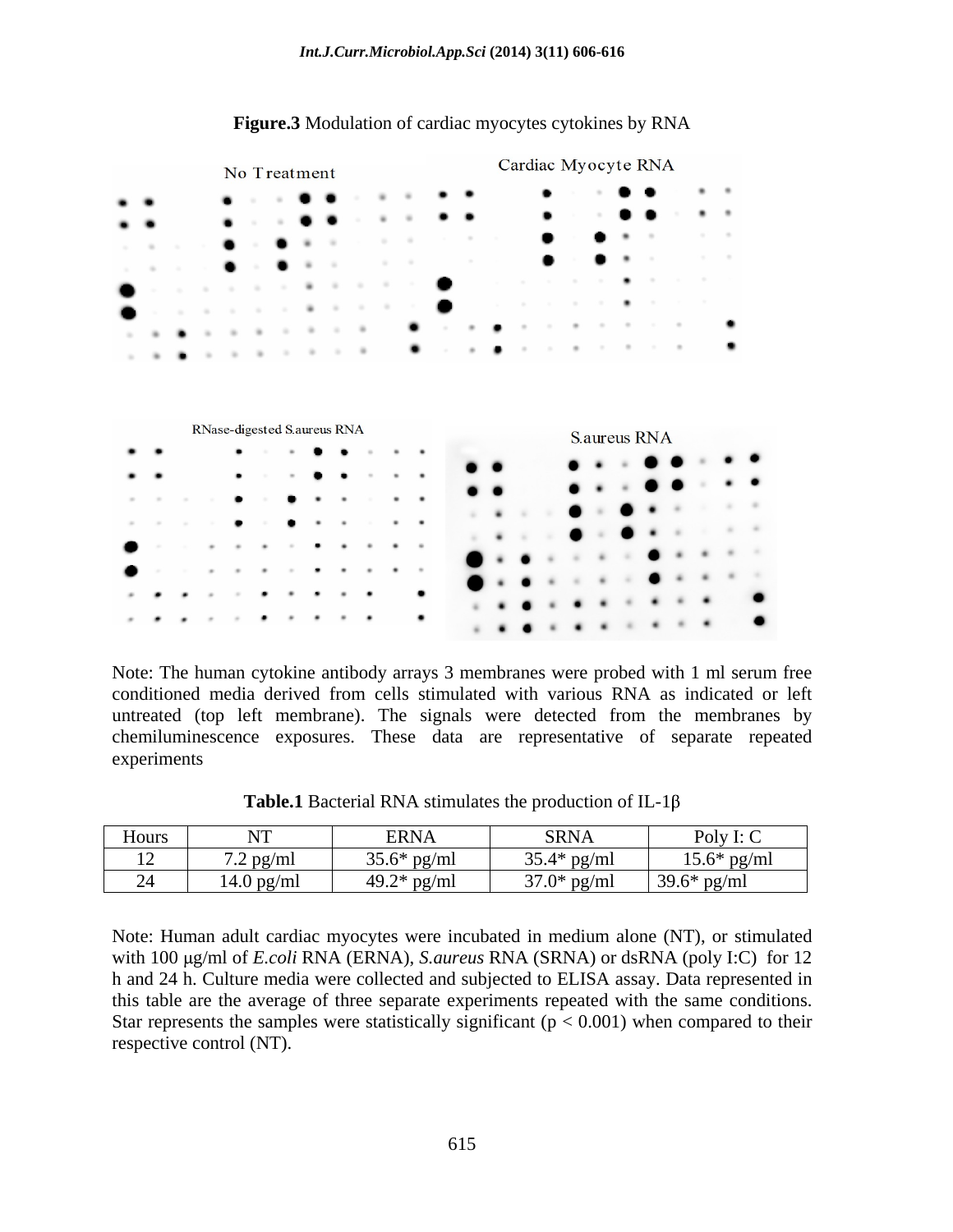|        |                        |                             | No Treatment      |        |        |        |        |        |   |  |  |  |  |  |  |  | Cardiac Myocyte RNA |              |  |                |  |  |  |  |  |  |  |  |
|--------|------------------------|-----------------------------|-------------------|--------|--------|--------|--------|--------|---|--|--|--|--|--|--|--|---------------------|--------------|--|----------------|--|--|--|--|--|--|--|--|
|        |                        |                             |                   |        |        |        |        |        |   |  |  |  |  |  |  |  |                     |              |  |                |  |  |  |  |  |  |  |  |
|        |                        |                             |                   |        |        |        |        |        |   |  |  |  |  |  |  |  |                     |              |  |                |  |  |  |  |  |  |  |  |
|        |                        |                             |                   |        |        |        |        |        |   |  |  |  |  |  |  |  |                     |              |  |                |  |  |  |  |  |  |  |  |
|        |                        |                             |                   |        |        |        |        |        |   |  |  |  |  |  |  |  |                     |              |  |                |  |  |  |  |  |  |  |  |
|        |                        |                             |                   |        |        |        |        |        | ٠ |  |  |  |  |  |  |  |                     |              |  |                |  |  |  |  |  |  |  |  |
|        |                        |                             |                   |        |        |        |        |        | ٠ |  |  |  |  |  |  |  |                     |              |  |                |  |  |  |  |  |  |  |  |
|        |                        |                             |                   |        |        |        |        |        |   |  |  |  |  |  |  |  |                     |              |  |                |  |  |  |  |  |  |  |  |
|        |                        |                             |                   |        |        |        |        |        |   |  |  |  |  |  |  |  |                     |              |  | $\blacksquare$ |  |  |  |  |  |  |  |  |
|        |                        | RNase-digested S.aureus RNA |                   |        |        |        |        |        |   |  |  |  |  |  |  |  |                     | S.aureus RNA |  |                |  |  |  |  |  |  |  |  |
|        |                        |                             |                   |        |        |        |        |        |   |  |  |  |  |  |  |  |                     |              |  |                |  |  |  |  |  |  |  |  |
|        |                        |                             |                   |        |        |        |        |        |   |  |  |  |  |  |  |  |                     |              |  |                |  |  |  |  |  |  |  |  |
|        |                        |                             |                   |        |        |        |        |        |   |  |  |  |  |  |  |  |                     |              |  |                |  |  |  |  |  |  |  |  |
|        |                        |                             |                   |        |        |        |        |        |   |  |  |  |  |  |  |  |                     |              |  |                |  |  |  |  |  |  |  |  |
|        |                        |                             |                   |        |        |        |        |        |   |  |  |  |  |  |  |  |                     |              |  |                |  |  |  |  |  |  |  |  |
|        |                        |                             |                   |        |        |        |        |        |   |  |  |  |  |  |  |  |                     |              |  |                |  |  |  |  |  |  |  |  |
|        |                        |                             |                   |        |        |        |        |        |   |  |  |  |  |  |  |  |                     |              |  |                |  |  |  |  |  |  |  |  |
| $\sim$ | <b>College College</b> | <b>College</b>              | <b>Contractor</b> | $\sim$ | $\sim$ | $\sim$ | $\sim$ | $\sim$ |   |  |  |  |  |  |  |  |                     |              |  |                |  |  |  |  |  |  |  |  |

#### **Figure.3** Modulation of cardiac myocytes cytokines by RNA

Note: The human cytokine antibody arrays 3 membranes were probed with 1 ml serum free conditioned media derived from cells stimulated with various RNA as indicated or left untreated (top left membrane). The signals were detected from the membranes by chemiluminescence exposures. These data are representative of separate repeated experiments

| Hours                  | $\mathbf{X}$<br>$\cdots$ | <b>ERNA</b>   | <b>SRNA</b>   | Poly I: C     |
|------------------------|--------------------------|---------------|---------------|---------------|
| $1^{\circ}$<br>$\perp$ | $7.2$ pg/ml              | $35.6*$ pg/m  | $35.4*$ pg/ml | $15.6*$ pg/ml |
|                        | $\sim$<br>14.0 pg/ml     | 49.2* $pg/ml$ | $37.0*$ pg/ml | $39.6*$ pg/ml |

**Table.1** Bacterial RNA stimulates the production of IL-1 $\beta$ 

Note: Human adult cardiac myocytes were incubated in medium alone (NT), or stimulated with 100 μg/ml of *E.coli* RNA (ERNA), *S.aureus* RNA (SRNA) or dsRNA (poly I:C) for 12 h and 24 h. Culture media were collected and subjected to ELISA assay. Data represented in this table are the average of three separate experiments repeated with the same conditions. Star represents the samples were statistically significant ( $p < 0.001$ ) when compared to their respective control (NT).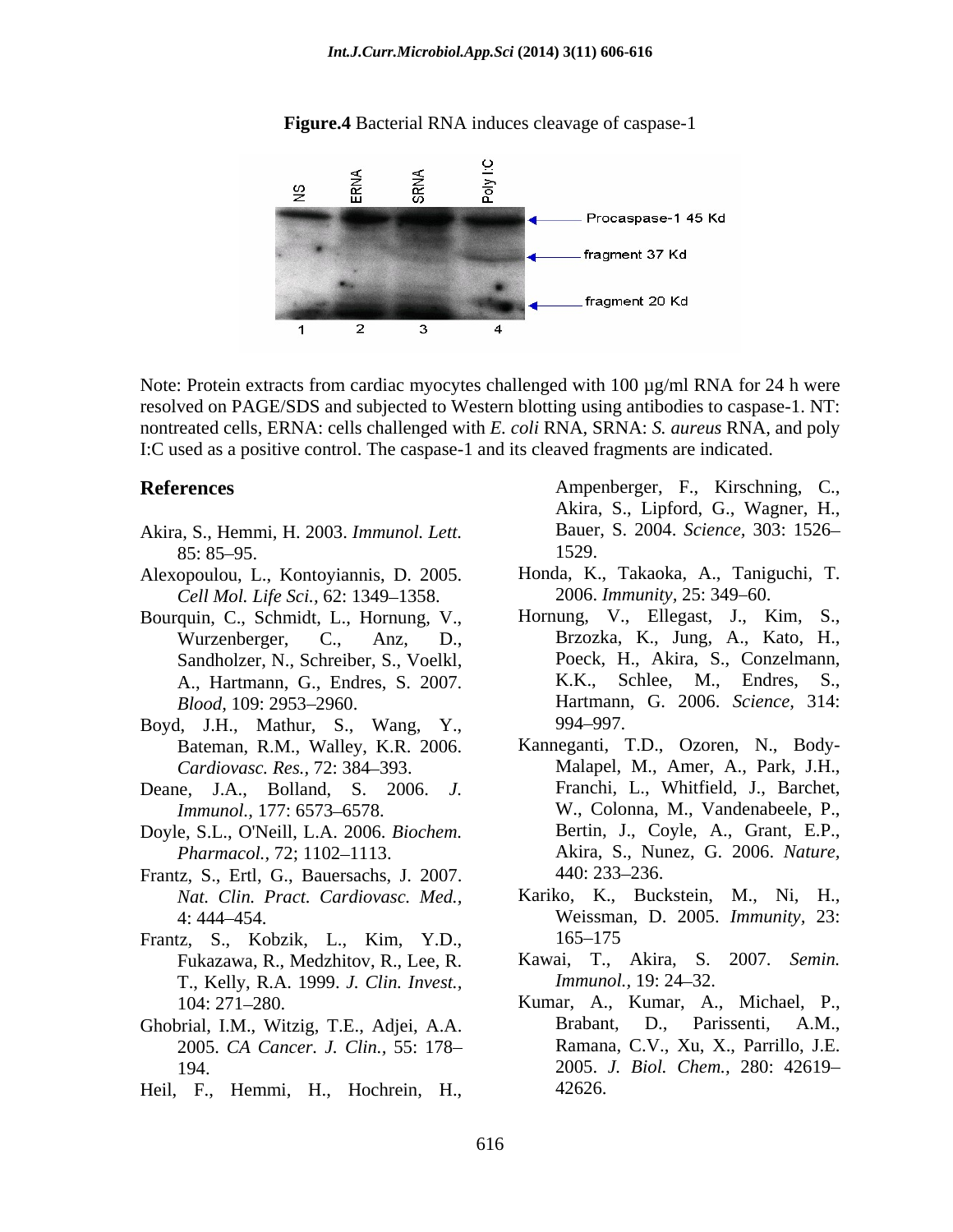

**Figure.4** Bacterial RNA induces cleavage of caspase-1

Note: Protein extracts from cardiac myocytes challenged with 100 µg/ml RNA for 24 h were resolved on PAGE/SDS and subjected to Western blotting using antibodies to caspase-1. NT: nontreated cells, ERNA: cells challenged with *E. coli* RNA, SRNA: *S. aureus* RNA, and poly I:C used as a positive control. The caspase-1 and its cleaved fragments are indicated.

- $85: 85-95.$  1529.
- Alexopoulou, L., Kontoyiannis, D. 2005. *Cell Mol. Life Sci., 62: 1349-1358.*
- Bourquin, C., Schmidt, L., Hornung, V., Sandholzer, N., Schreiber, S., Voelkl,
- Boyd, J.H., Mathur, S., Wang, Y., Bateman, R.M., Walley, K.R. 2006.
- 
- Doyle, S.L., O'Neill, L.A. 2006. *Biochem.*
- Frantz, S., Ertl, G., Bauersachs, J. 2007.
- Frantz, S., Kobzik, L., Kim, Y.D., Fukazawa, R., Medzhitov, R., Lee, R. T., Kelly, R.A. 1999. *J. Clin. Invest.,*
- 2005. *CA Cancer. J. Clin.,* 55: 178
- 

**References** Ampenberger, F., Kirschning, C., Akira, S., Lipford, G., Wagner, H., Akira, S., Hemmi, H. 2003. *Immunol. Lett.*  1529.

- Honda, K., Takaoka, A., Taniguchi, T. 2006. *Immunity*, 25: 349-60.
- Wurzenberger, C., Anz, D., Brzozka, K., Jung, A., Kato, H., A., Hartmann, G., Endres, S. 2007. *Blood,* 109: 2953 2960. Hartmann, G. 2006. *Science,* 314: Hornung, V., Ellegast, J., Kim, S., Poeck, H., Akira, S., Conzelmann, K.K., Schlee, M., Endres, 994 997.
- *Cardiovasc. Res.,* 72: 384 393. Malapel, M., Amer, A., Park, J.H., Deane, J.A., Bolland, S. 2006. *J.*  Franchi, L., Whitfield, J., Barchet, *Immunol.*, 177: 6573–6578. W., Colonna, M., Vandenabeele, P., *Pharmacol.,* 72; 1102 1113. Akira, S., Nunez, G. 2006. *Nature,* References<br>
Akira, S., Lipford, G., Wagner, H., Aixar, S., Lipford, G., Wagner, H., Ampen, S., Hemmi, H., 2003.<br>
Hexapoidou, L., Kontoyiannis, D. 2005.<br>
Honda, K., Takaoka, A., Taniguchi, T.<br>
Horston, L., Kontoyiannis, D. Kanneganti, T.D., Ozoren, N., Body- Bertin, J., Coyle, A., Grant, E.P., 440: 233–236.
	- *Nat. Clin. Pract. Cardiovasc. Med.,* Kariko, K., Buckstein, M., Ni, H., 4: 444 454. Weissman, D. 2005. *Immunity,* 23: 165–175
		- Kawai, T., Akira, S. 2007. *Semin. Immunol.,* 19: 24–32.
- 104: 271 280. Kumar, A., Kumar, A., Michael, P., Ghobrial, I.M., Witzig, T.E., Adjei, A.A. 194. 2005. *J. Biol. Chem.,* 280: 42619 Brabant, D., Parissenti, A.M., Ramana, C.V., Xu, X., Parrillo, J.E. 42626.